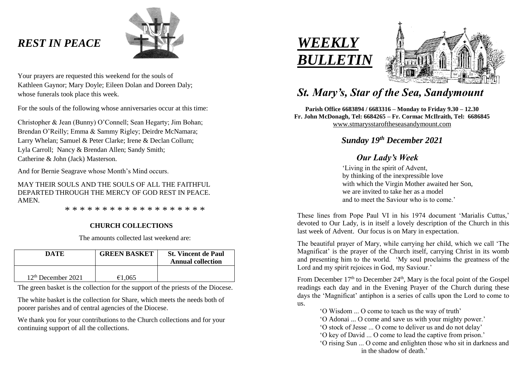## *REST IN PEACE*



Your prayers are requested this weekend for the souls of Kathleen Gaynor; Mary Doyle; Eileen Dolan and Doreen Daly; whose funerals took place this week.

For the souls of the following whose anniversaries occur at this time:

Christopher & Jean (Bunny) O'Connell; Sean Hegarty; Jim Bohan; Brendan O'Reilly; Emma & Sammy Rigley; Deirdre McNamara; Larry Whelan; Samuel & Peter Clarke; Irene & Declan Collum; Lyla Carroll; Nancy & Brendan Allen; Sandy Smith; Catherine & John (Jack) Masterson.

And for Bernie Seagrave whose Month's Mind occurs.

MAY THEIR SOULS AND THE SOULS OF ALL THE FAITHFUL DEPARTED THROUGH THE MERCY OF GOD REST IN PEACE. AMEN.

\* \* \* \* \* \* \* \* \* \* \* \* \* \* \* \* \* \* \*

#### **CHURCH COLLECTIONS**

The amounts collected last weekend are:

| DATE                 | <b>GREEN BASKET</b> | <b>St. Vincent de Paul</b><br><b>Annual collection</b> |
|----------------------|---------------------|--------------------------------------------------------|
| $12th$ December 2021 | €1.065              |                                                        |

The green basket is the collection for the support of the priests of the Diocese.

The white basket is the collection for Share, which meets the needs both of poorer parishes and of central agencies of the Diocese.

We thank you for your contributions to the Church collections and for your continuing support of all the collections.





# *St. Mary's, Star of the Sea, Sandymount*

**Parish Office 6683894 / 6683316 – Monday to Friday 9.30 – 12.30 Fr. John McDonagh, Tel: 6684265 – Fr. Cormac McIlraith, Tel: 6686845** [www.stmarysstaroftheseasandymount.com](http://www.stmarysstaroftheseasandymount.com/)

### *Sunday 19 th December 2021*

### *Our Lady's Week*

'Living in the spirit of Advent, by thinking of the inexpressible love with which the Virgin Mother awaited her Son, we are invited to take her as a model and to meet the Saviour who is to come.'

These lines from Pope Paul VI in his 1974 document 'Marialis Cuttus,' devoted to Our Lady, is in itself a lovely description of the Church in this last week of Advent. Our focus is on Mary in expectation.

The beautiful prayer of Mary, while carrying her child, which we call 'The Magnificat' is the prayer of the Church itself, carrying Christ in its womb and presenting him to the world. 'My soul proclaims the greatness of the Lord and my spirit rejoices in God, my Saviour.'

From December  $17<sup>th</sup>$  to December  $24<sup>th</sup>$ , Mary is the focal point of the Gospel readings each day and in the Evening Prayer of the Church during these days the 'Magnificat' antiphon is a series of calls upon the Lord to come to us.

'O Wisdom ... O come to teach us the way of truth' 'O Adonai ... O come and save us with your mighty power.' 'O stock of Jesse ... O come to deliver us and do not delay' 'O key of David ... O come to lead the captive from prison.' 'O rising Sun ... O come and enlighten those who sit in darkness and in the shadow of death.'